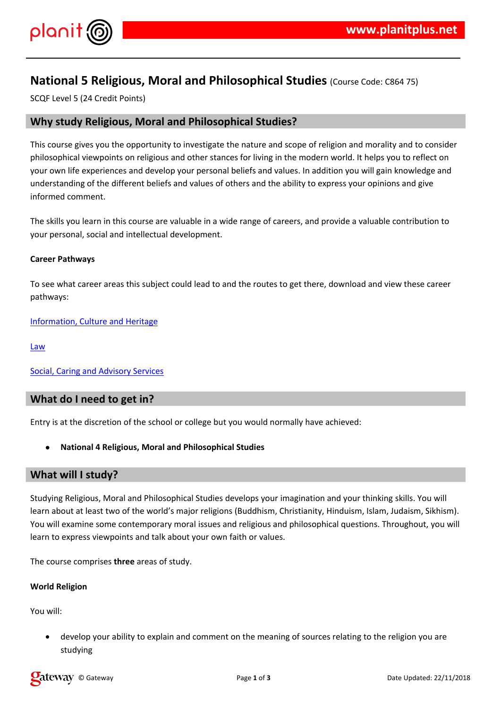## $!$  " # \$ %  $8 \quad 8'$

 $() 8 * 8 $$ \$ % 3 % / % & -' & \$ '% & % % & ' 0' %  $\%$  & . &  $'$   $'$  $8'$  (  $8'$  ) (  $1\%$   $8\%$  % ) (  $1\%$   $1\%$   $1\%$   $1\%$   $1\%$   $1\%$   $1\%$   $1\%$   $1\%$   $1\%$   $1\%$   $1\%$   $1\%$   $1\%$   $1\%$   $1\%$   $1\%$   $1\%$   $1\%$   $1\%$   $1\%$   $1\%$   $1\%$   $1\%$   $1\%$   $1\%$   $1\%$   $1\%$   $1\%$   $1\%$   $1\%$   $\mathbf{H}^{\mathrm{max}}$  $8' + * + +$ ,

()  $0.8\%$  %  $\%$  '  $8.5\%$   $8\%$  & ' \* 1 '  $$8.5\%$  /% \* '  $8$ /  $\frac{1}{2}$  % 1 \*& 9%% % \$ %% + ',

 $(2)$  \*  $(2)$  \*  $(2)$  \*  $(2)$  \*  $(2)$  \*  $(2)$  $1$   $\frac{1}{2}$   $\frac{1}{2}$   $\frac{1}{2}$   $\frac{1}{2}$   $\frac{1}{2}$   $\frac{1}{2}$   $\frac{1}{2}$   $\frac{1}{2}$   $\frac{1}{2}$   $\frac{1}{2}$   $\frac{1}{2}$   $\frac{1}{2}$   $\frac{1}{2}$   $\frac{1}{2}$   $\frac{1}{2}$   $\frac{1}{2}$   $\frac{1}{2}$   $\frac{1}{2}$   $\frac{1}{2}$   $\frac{1}{2}$   $\frac{1}{2}$   $\frac{1}{2$  $\sqrt{2}$  $\left( \begin{array}{c} \end{array} \right)$ 

 $-1$  + & '1 % 3 & '

 $\frac{\#}{\#}$ 

 $* 8 \, %1 \, 8 \, ' \, 1 \, 4 \, \frac{6}{5} 8 \, 8 \, 5 \, 8 \, *$ 

5' & ) & \* \* & '%\* %)% % % + % % + % % \$

 $\begin{array}{ccccccccc} \% & & / & & \% & \end{array}$   $\begin{array}{ccccccccc} & & & \% & & \end{array}$   $\begin{array}{ccccccccc} & & & \% & & \end{array}$   $\begin{array}{ccccccccc} & & & \% & & \end{array}$   $\begin{array}{ccccccccc} & & & \% & & \end{array}$   $\begin{array}{ccccccccc} & & & \% & & \end{array}$   $\begin{array}{ccccccccc} & & & \% & & \end{array}$   $\begin{array}{ccccccccc} & & & \% & & \end{array}$   $\begin{array}{ccccccccc} & & & \% & & \end{array}$   $\$ 

() \* \* + &  $\mathcal{L}(\mathcal{L})$ 

8 & % %

 $(8\%8\%8'$   $8'$   $*$   $*$   $4 +$   $4$   $*$   $8'$   $*$   $8'$   $8'$   $8'$   $8'$   $8'$  $\frac{6}{9}$  %  $8'$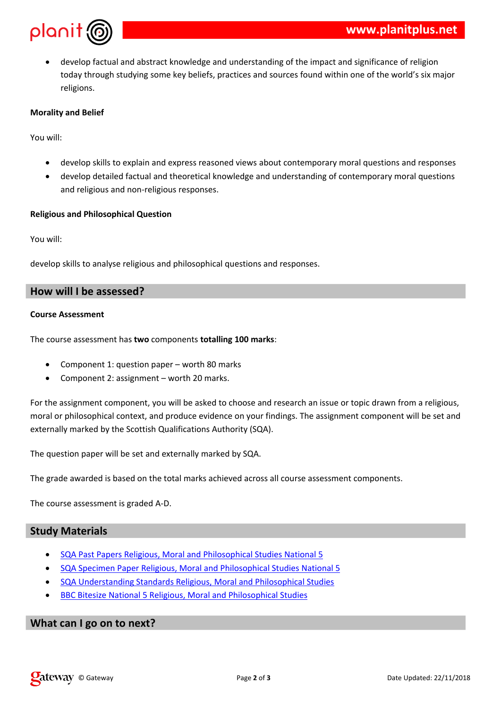$8 + 0/$  % &  $1 + 8 * 1$  \*  $8 \times 8$   $(8 \times 1)$   $(96 \times 9)$  $\overline{\phantom{a}}$  $\rightarrow$  $\%$  & &  $^{\prime}$  ,

 $\overline{\phantom{a}}$   $\overline{\phantom{a}}$   $\overline{\phantom{a}}$   $\overline{\phantom{a}}$   $\overline{\phantom{a}}$   $\overline{\phantom{a}}$   $\overline{\phantom{a}}$   $\overline{\phantom{a}}$   $\overline{\phantom{a}}$   $\overline{\phantom{a}}$   $\overline{\phantom{a}}$   $\overline{\phantom{a}}$   $\overline{\phantom{a}}$   $\overline{\phantom{a}}$   $\overline{\phantom{a}}$   $\overline{\phantom{a}}$   $\overline{\phantom{a}}$   $\overline{\phantom{a}}$   $\overline{\$ 

8 & % %

 $$ \%$  0 & % % \* ' '+ \$& + % <  $8"$  $+$  %  $\frac{1}{2}$  % & &  $\frac{1}{2}$  = % & &  $\frac{1}{2}$ ,

 $\mathfrak{S}$ 

8 & % %

 $$ \%$  08%% %&  $%$  48\* %' ' ',

| $\frac{0}{6}$ | & |  |
|---------------|---|--|
|               |   |  |

 $\overline{a}$   $\overline{a}$   $\overline{a}$   $\overline{a}$   $\overline{a}$   $\overline{a}$   $\overline{a}$   $\overline{a}$   $\overline{a}$   $\overline{a}$   $\overline{a}$   $\overline{a}$   $\overline{a}$   $\overline{a}$   $\overline{a}$   $\overline{a}$   $\overline{a}$   $\overline{a}$   $\overline{a}$   $\overline{a}$   $\overline{a}$   $\overline{a}$   $\overline{a}$   $\overline{a}$   $\overline{$ 

- $( )$  \* + '  $)$  \* + ' ' ) ( \*
	- $+$  '' < & ' ) > + 0  $8'$   $\neq$  ' ) + 0,  $+$   $+$   $+$   $+$   $+$

 $\begin{array}{cccccccccccc} \texttt{``} & \texttt{)} & \texttt{&8} & \texttt{``} & \texttt{``} & \texttt{``} & \texttt{``} & \texttt{``} & \texttt{``} & \texttt{``} & \texttt{''} & \texttt{``} & \texttt{``} & \texttt{``} & \texttt{``} & \texttt{``} & \texttt{``} & \texttt{``} & \texttt{``} & \texttt{``} & \texttt{``} & \texttt{``} & \texttt{``} & \texttt{``} & \texttt{``} & \texttt{``} & \texttt{``} & \texttt{``} & \texttt{``} & \texttt{``} & \$ 

- $( )$  < & ' & % % ./ ' % % + !04,
- $8$  ( )  $1 + \% 0 * )$  & \$ \* \* % % \$  $4 + 1$ .  $( )$
- $( )$  \*  $+$   $84 = ,$

| $\frac{14}{2}$ |  | 6 % & & 18.7% %) & * % & ? & ' %        |  |
|----------------|--|-----------------------------------------|--|
| $\frac{14}{2}$ |  | $*8 + 6$ % & & 1'7) & % as $*$ % & & %  |  |
|                |  | $14$ ' &' ' 67% &%& ) & % ) & *& %      |  |
|                |  | :: :& & @ & ' % % & & 1 7 & % ' ) & * % |  |

 $+$